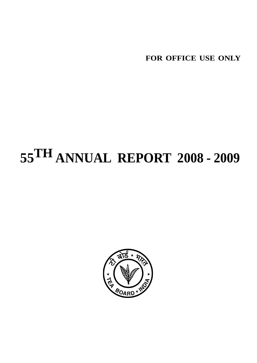**FOR OFFICE USE ONLY**

# **55TH ANNUAL REPORT 2008 - 2009**

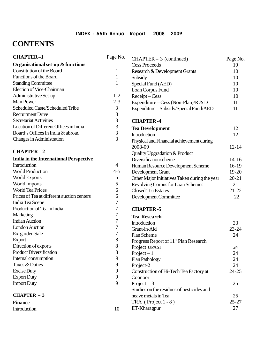## INDEX : 55th Annual Report : 2008 - 2009

# **CONTENTS**

| <b>CHAPTER-1</b>                              | Page No.         | $CHAPTER-3$ (continued)                           | Page No.  |
|-----------------------------------------------|------------------|---------------------------------------------------|-----------|
| Organisational set-up & functions             | 1                | <b>Cess Proceeds</b>                              | 10        |
| Constitution of the Board                     | 1                | Research & Development Grants                     | 10        |
| Functions of the Board                        | 1                | Subsidy                                           | 10        |
| <b>Standing Committee</b>                     | 1                | Special Fund (AED)                                | 10        |
| Election of Vice-Chairman                     | $\mathbf{1}$     | Loan Corpus Fund                                  | 10        |
| Administrative Set-up                         | $1 - 2$          | Receipt-Cess                                      | 10        |
| Man Power                                     | $2 - 3$          | Expenditure – Cess (Non-Plan)/R & D               | 11        |
| Scheduled Caste/Scheduled Tribe               | 3                | Expenditure - Subsidy/Special Fund/AED            | 11        |
| <b>Recruitment Drive</b>                      | 3                |                                                   |           |
| Secretariat Activities                        | 3                | <b>CHAPTER-4</b>                                  |           |
| Location of Different Offices in India        | 3                | <b>Tea Development</b>                            | 12        |
| Board's Offices in India & abroad             | 3                | Introduction                                      | 12        |
| <b>Changes in Administration</b>              | $\overline{3}$   | Physical and Financial achievement during         |           |
|                                               |                  | 2008-09                                           | $12 - 14$ |
| <b>CHAPTER-2</b>                              |                  | Quality Upgradation & Product                     |           |
| <b>India in the International Perspective</b> |                  | Diversification scheme                            | $14 - 16$ |
| Introduction                                  | $\overline{4}$   | Human Resource Development Scheme                 | 16-19     |
| <b>World Production</b>                       | $4 - 5$          | Development Grant                                 | 19-20     |
| World Exports                                 | 5                | Other Major Initiatives Taken during the year     | $20 - 21$ |
| World Imports                                 | $\mathfrak s$    | Revolving Corpus for Loan Schemes                 | 21        |
| <b>World Tea Prices</b>                       | 6                | <b>Closed Tea Estates</b>                         | $21 - 22$ |
| Prices of Tea at different auction centers    | 6                | Development Committee                             | 22        |
| India Tea Scene                               | 7                |                                                   |           |
| Production of Tea in India                    | 7                | <b>CHAPTER-5</b>                                  |           |
| Marketing                                     | $\overline{7}$   | <b>Tea Research</b>                               |           |
| <b>Indian Auction</b>                         | $\sqrt{ }$       | Introduction                                      | 23        |
| <b>London Auction</b>                         | $\sqrt{ }$       | Grant-in-Aid                                      | $23 - 24$ |
| Ex-garden Sale                                | $\boldsymbol{7}$ | Plan Scheme                                       | 24        |
| Export                                        | $8\,$            | Progress Report of 11 <sup>th</sup> Plan Research |           |
| Direction of exports                          | 8                | Project UPASI                                     | 24        |
| <b>Product Diversification</b>                | $8\,$            | $Project-1$                                       | 24        |
| Internal consumption                          | 9                | Plan Pathology                                    | 24        |
| Taxes & Duties                                | 9                | Project-2                                         | 24        |
| <b>Excise Duty</b>                            | 9                | Construction of Hi-Tech Tea Factory at            | $24 - 25$ |
| <b>Export Duty</b>                            | 9                | Coonoor                                           |           |
| <b>Import Duty</b>                            | 9                | Project - 3                                       | 25        |
|                                               |                  | Studies on the residues of pesticides and         |           |
| <b>CHAPTER <math>-3</math></b>                |                  | heave metals in Tea                               | 25        |
| <b>Finance</b>                                |                  | TRA (Project $1 - 8$ )                            | $25 - 27$ |
| Introduction                                  | 10               | IIT-Kharagpur                                     | 27        |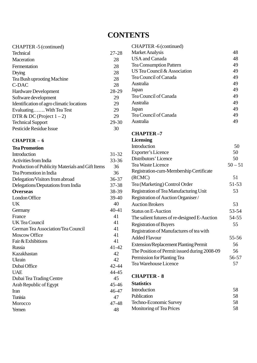# **CONTENTS**

| CHAPTER -5 (continued)                    |           | CHAPTER -6 (continued)         |    |
|-------------------------------------------|-----------|--------------------------------|----|
| <b>Technical</b>                          | $27 - 28$ | <b>Market Analysis</b>         | 48 |
| Maceration                                | 28        | USA and Canada                 | 48 |
| Fermentation                              | 28        | <b>Tea Consumption Pattern</b> | 49 |
| Drying                                    | 28        | US Tea Council & Association   | 49 |
| Tea Bush uprooting Machine                | 28        | Tea Council of Canada          | 49 |
| C-DAC                                     | 28        | Australia                      | 49 |
| <b>Hardware Development</b>               | 28-29     | Japan                          | 49 |
| Software development                      | 29        | Tea Council of Canada          | 49 |
| Identification of agro climatic locations | 29        | Australia                      | 49 |
| Evaluating With Tea Test                  | 29        | Japan                          | 49 |
| DTR & DC (Project $1-2$ )                 | 29        | Tea Council of Canada          | 49 |
| <b>Technical Support</b>                  | 29-30     | Australia                      | 49 |
| Pesticide Residue Issue                   | 30        |                                |    |
|                                           |           | CHAPTER _7                     |    |

#### **CHAPTER – 6**

| <b>Tea Promotion</b>                             |           |
|--------------------------------------------------|-----------|
| Introduction                                     | 31-32     |
| <b>Activities from India</b>                     | 33-36     |
| Production of Publicity Materials and Gift Items | 36        |
| Tea Promotion in India                           | 36        |
| Delegation/Visitors from abroad                  | 36-37     |
| Delegations/Deputations from India               | 37-38     |
| <b>Overseas</b>                                  | 38-39     |
| London Office                                    | 39-40     |
| <b>UK</b>                                        | 40        |
| Germany                                          | $40 - 41$ |
| France                                           | 41        |
| <b>UK Tea Council</b>                            | 41        |
| German Tea Association/Tea Council               | 41        |
| Moscow Office                                    | 41        |
| Fair & Exhibitions                               | 41        |
| Russia                                           | $41 - 42$ |
| Kazakhastan                                      | 42        |
| Ukrain                                           | 42        |
| Dubai Office                                     | 42-44     |
| <b>UAE</b>                                       | 44-45     |
| Dubai Tea Trading Centre                         | 45        |
| Arab Republic of Egypt                           | 45-46     |
| <b>Iran</b>                                      | 46-47     |
| Tunisia                                          | 47        |
| Morocco                                          | 47-48     |
| Yemen                                            | 48        |

#### **CHAPTER –7 Licensing**

| Introduction<br><b>Exporter's Licence</b>    | 50        |
|----------------------------------------------|-----------|
|                                              |           |
|                                              | 50        |
| Distributors' Licence                        | 50        |
| <b>Tea Waste Licence</b>                     | $50 - 51$ |
| Registration-cum-Membership Certificate      |           |
| (RCMC)                                       | 51        |
| Tea (Marketing) Control Order                | 51-53     |
| Registration of Tea Manufacturing Unit       | 53        |
| Registration of Auction Organiser/           |           |
| <b>Auction Brokers</b>                       | 53        |
| <b>Status on E-Auction</b>                   | 53-54     |
| The salient futures of re-designed E-Auction | 54-55     |
| <b>Registration of Buyers</b>                | 55        |
| Registration of Manufactures of tea with     |           |
| <b>Added Flavour</b>                         | 55-56     |
| <b>Extension/Replacement Planting Permit</b> | 56        |
| The Position of Permit issued during 2008-09 | 56        |
| Permission for Planting Tea                  | 56-57     |
| Tea Warehouse Licence                        | 57        |

### **CHAPTER - 8**

| <b>Statistics</b>        |    |
|--------------------------|----|
| Introduction             | 58 |
| Publication              | 58 |
| Techno-Economic Survey   | 58 |
| Monitoring of Tea Prices | 58 |
|                          |    |